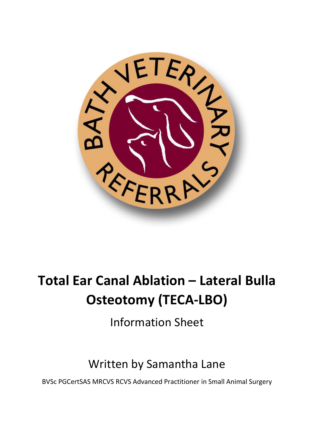

# **Total Ear Canal Ablation – Lateral Bulla Osteotomy (TECA-LBO)**

Information Sheet

## Written by Samantha Lane

BVSc PGCertSAS MRCVS RCVS Advanced Practitioner in Small Animal Surgery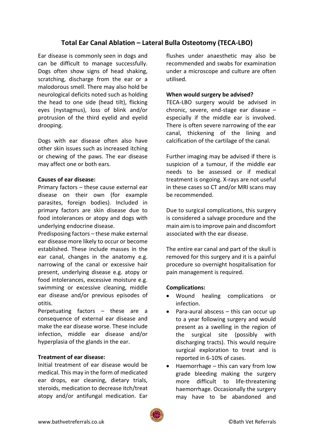### **Total Ear Canal Ablation – Lateral Bulla Osteotomy (TECA-LBO)**

Ear disease is commonly seen in dogs and can be difficult to manage successfully. Dogs often show signs of head shaking, scratching, discharge from the ear or a malodorous smell. There may also hold be neurological deficits noted such as holding the head to one side (head tilt), flicking eyes (nystagmus), loss of blink and/or protrusion of the third eyelid and eyelid drooping.

Dogs with ear disease often also have other skin issues such as increased itching or chewing of the paws. The ear disease may affect one or both ears.

#### **Causes of ear disease:**

Primary factors – these cause external ear disease on their own (for example parasites, foreign bodies). Included in primary factors are skin disease due to food intolerances or atopy and dogs with underlying endocrine disease.

Predisposing factors – these make external ear disease more likely to occur or become established. These include masses in the ear canal, changes in the anatomy e.g. narrowing of the canal or excessive hair present, underlying disease e.g. atopy or food intolerances, excessive moisture e.g. swimming or excessive cleaning, middle ear disease and/or previous episodes of otitis.

Perpetuating factors – these are a consequence of external ear disease and make the ear disease worse. These include infection, middle ear disease and/or hyperplasia of the glands in the ear.

#### **Treatment of ear disease:**

Initial treatment of ear disease would be medical. This may in the form of medicated ear drops, ear cleaning, dietary trials, steroids, medication to decrease itch/treat atopy and/or antifungal medication. Ear flushes under anaesthetic may also be recommended and swabs for examination under a microscope and culture are often utilised.

#### **When would surgery be advised?**

TECA-LBO surgery would be advised in chronic, severe, end-stage ear disease – especially if the middle ear is involved. There is often severe narrowing of the ear canal, thickening of the lining and calcification of the cartilage of the canal.

Further imaging may be advised if there is suspicion of a tumour, if the middle ear needs to be assessed or if medical treatment is ongoing. X-rays are not useful in these cases so CT and/or MRI scans may be recommended.

Due to surgical complications, this surgery is considered a salvage procedure and the main aim is to improve pain and discomfort associated with the ear disease.

The entire ear canal and part of the skull is removed for this surgery and it is a painful procedure so overnight hospitalisation for pain management is required.

#### **Complications:**

- Wound healing complications or infection.
- Para-aural abscess this can occur up to a year following surgery and would present as a swelling in the region of the surgical site (possibly with discharging tracts). This would require surgical exploration to treat and is reported in 6-10% of cases.
- Haemorrhage this can vary from low grade bleeding making the surgery more difficult to life-threatening haemorrhage. Occasionally the surgery may have to be abandoned and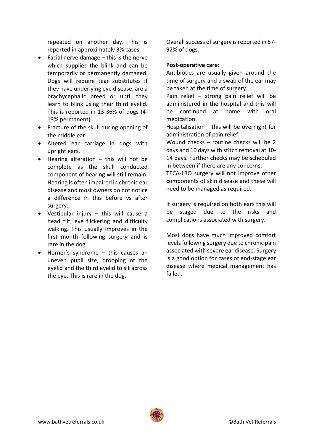repeated on another day. This is reported in approximately 3% cases.

- Facial nerve damage this is the nerve which supplies the blink and can be temporarily or permanently damaged. Dogs will require tear substitutes if they have underlying eye disease, are a brachycephalic breed or until they learn to blink using their third eyelid. This is reported in 13-36% of dogs (4- 13% permanent).
- Fracture of the skull during opening of the middle ear.
- Altered ear carriage in dogs with upright ears.
- Hearing alteration this will not be complete as the skull conducted component of hearing will still remain. Hearing is often impaired in chronic ear disease and most owners do not notice a difference in this before vs after surgery.
- Vestibular injury this will cause a head tilt, eye flickering and difficulty walking. This usually improves in the first month following surgery and is rare in the dog.
- Horner's syndrome this causes an uneven pupil size, drooping of the eyelid and the third eyelid to sit across the eye. This is rare in the dog.

Overall success of surgery is reported in 57- 92% of dogs.

#### **Post-operative care:**

Antibiotics are usually given around the time of surgery and a swab of the ear may be taken at the time of surgery.

Pain relief – strong pain relief will be administered in the hospital and this will be continued at home with oral medication.

Hospitalisation – this will be overnight for administration of pain relief.

Wound checks – routine checks will be 2 days and 10 days with stitch removal at 10- 14 days. Further checks may be scheduled in between if there are any concerns.

TECA-LBO surgery will not improve other components of skin disease and these will need to be managed as required.

If surgery is required on both ears this will be staged due to the risks and complications associated with surgery.

Most dogs have much improved comfort levels following surgery due to chronic pain associated with severe ear disease. Surgery is a good option for cases of end-stage ear disease where medical management has failed.